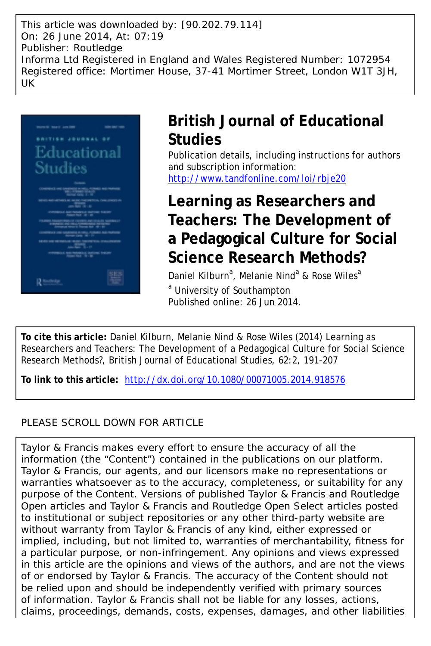This article was downloaded by: [90.202.79.114] On: 26 June 2014, At: 07:19 Publisher: Routledge Informa Ltd Registered in England and Wales Registered Number: 1072954 Registered office: Mortimer House, 37-41 Mortimer Street, London W1T 3JH, UK



# **British Journal of Educational Studies**

Publication details, including instructions for authors and subscription information: <http://www.tandfonline.com/loi/rbje20>

# **Learning as Researchers and Teachers: The Development of a Pedagogical Culture for Social Science Research Methods?**

Daniel Kilburn<sup>a</sup>, Melanie Nind<sup>a</sup> & Rose Wiles<sup>a</sup>

<sup>a</sup> University of Southampton Published online: 26 Jun 2014.

**To cite this article:** Daniel Kilburn, Melanie Nind & Rose Wiles (2014) Learning as Researchers and Teachers: The Development of a Pedagogical Culture for Social Science Research Methods?, British Journal of Educational Studies, 62:2, 191-207

**To link to this article:** <http://dx.doi.org/10.1080/00071005.2014.918576>

# PLEASE SCROLL DOWN FOR ARTICLE

Taylor & Francis makes every effort to ensure the accuracy of all the information (the "Content") contained in the publications on our platform. Taylor & Francis, our agents, and our licensors make no representations or warranties whatsoever as to the accuracy, completeness, or suitability for any purpose of the Content. Versions of published Taylor & Francis and Routledge Open articles and Taylor & Francis and Routledge Open Select articles posted to institutional or subject repositories or any other third-party website are without warranty from Taylor & Francis of any kind, either expressed or implied, including, but not limited to, warranties of merchantability, fitness for a particular purpose, or non-infringement. Any opinions and views expressed in this article are the opinions and views of the authors, and are not the views of or endorsed by Taylor & Francis. The accuracy of the Content should not be relied upon and should be independently verified with primary sources of information. Taylor & Francis shall not be liable for any losses, actions, claims, proceedings, demands, costs, expenses, damages, and other liabilities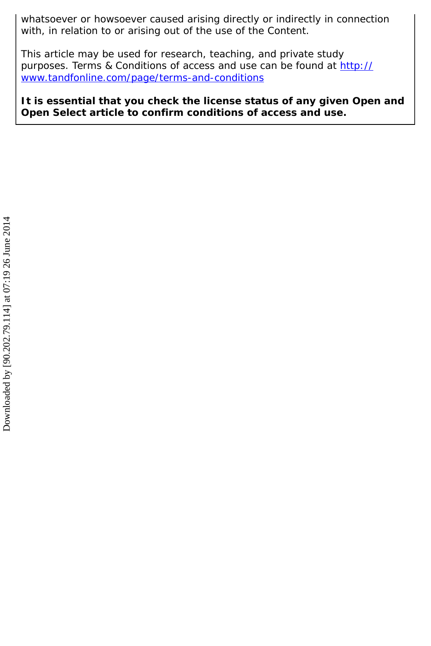whatsoever or howsoever caused arising directly or indirectly in connection with, in relation to or arising out of the use of the Content.

This article may be used for research, teaching, and private study purposes. Terms & Conditions of access and use can be found at [http://](http://www.tandfonline.com/page/terms-and-conditions) [www.tandfonline.com/page/terms-and-conditions](http://www.tandfonline.com/page/terms-and-conditions)

**It is essential that you check the license status of any given Open and Open Select article to confirm conditions of access and use.**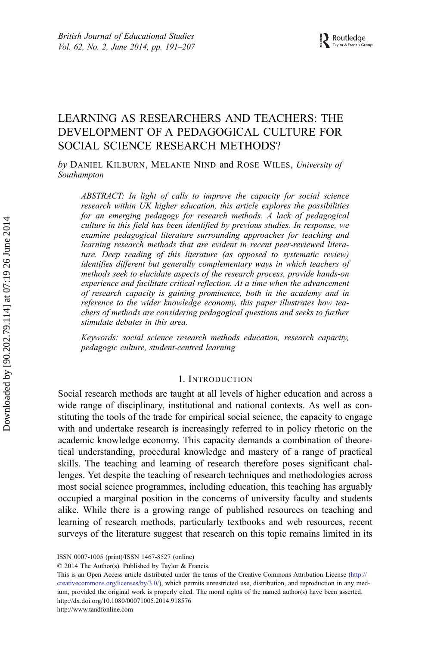# LEARNING AS RESEARCHERS AND TEACHERS: THE DEVELOPMENT OF A PEDAGOGICAL CULTURE FOR SOCIAL SCIENCE RESEARCH METHODS?

by DANIEL KILBURN, MELANIE NIND and ROSE WILES, University of Southampton

ABSTRACT: In light of calls to improve the capacity for social science research within UK higher education, this article explores the possibilities for an emerging pedagogy for research methods. A lack of pedagogical culture in this field has been identified by previous studies. In response, we examine pedagogical literature surrounding approaches for teaching and learning research methods that are evident in recent peer-reviewed literature. Deep reading of this literature (as opposed to systematic review) identifies different but generally complementary ways in which teachers of methods seek to elucidate aspects of the research process, provide hands-on experience and facilitate critical reflection. At a time when the advancement of research capacity is gaining prominence, both in the academy and in reference to the wider knowledge economy, this paper illustrates how teachers of methods are considering pedagogical questions and seeks to further stimulate debates in this area.

Keywords: social science research methods education, research capacity, pedagogic culture, student-centred learning

### 1. INTRODUCTION

Social research methods are taught at all levels of higher education and across a wide range of disciplinary, institutional and national contexts. As well as constituting the tools of the trade for empirical social science, the capacity to engage with and undertake research is increasingly referred to in policy rhetoric on the academic knowledge economy. This capacity demands a combination of theoretical understanding, procedural knowledge and mastery of a range of practical skills. The teaching and learning of research therefore poses significant challenges. Yet despite the teaching of research techniques and methodologies across most social science programmes, including education, this teaching has arguably occupied a marginal position in the concerns of university faculty and students alike. While there is a growing range of published resources on teaching and learning of research methods, particularly textbooks and web resources, recent surveys of the literature suggest that research on this topic remains limited in its

This is an Open Access article distributed under the terms of the Creative Commons Attribution License (http:// creativecommons.org/licenses/by/3.0/), which permits unrestricted use, distribution, and reproduction in any medium, provided the original work is properly cited. The moral rights of the named author(s) have been asserted. http://dx.doi.org/10.1080/00071005.2014.918576

http://www.tandfonline.com

ISSN 0007-1005 (print)/ISSN 1467-8527 (online)

<sup>© 2014</sup> The Author(s). Published by Taylor & Francis.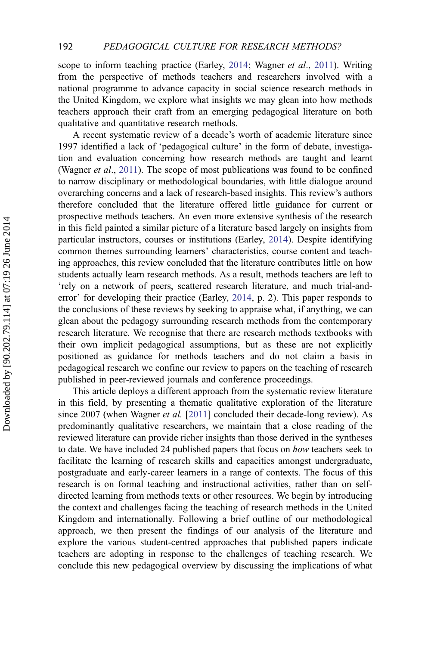scope to inform teaching practice (Earley, [2014;](#page-16-0) Wagner *et al.*, [2011\)](#page-18-0). Writing from the perspective of methods teachers and researchers involved with a national programme to advance capacity in social science research methods in the United Kingdom, we explore what insights we may glean into how methods teachers approach their craft from an emerging pedagogical literature on both qualitative and quantitative research methods.

A recent systematic review of a decade's worth of academic literature since 1997 identified a lack of 'pedagogical culture' in the form of debate, investigation and evaluation concerning how research methods are taught and learnt (Wagner et al., [2011\)](#page-18-0). The scope of most publications was found to be confined to narrow disciplinary or methodological boundaries, with little dialogue around overarching concerns and a lack of research-based insights. This review's authors therefore concluded that the literature offered little guidance for current or prospective methods teachers. An even more extensive synthesis of the research in this field painted a similar picture of a literature based largely on insights from particular instructors, courses or institutions (Earley, [2014\)](#page-16-0). Despite identifying common themes surrounding learners' characteristics, course content and teaching approaches, this review concluded that the literature contributes little on how students actually learn research methods. As a result, methods teachers are left to 'rely on a network of peers, scattered research literature, and much trial-anderror' for developing their practice (Earley, [2014](#page-16-0), p. 2). This paper responds to the conclusions of these reviews by seeking to appraise what, if anything, we can glean about the pedagogy surrounding research methods from the contemporary research literature. We recognise that there are research methods textbooks with their own implicit pedagogical assumptions, but as these are not explicitly positioned as guidance for methods teachers and do not claim a basis in pedagogical research we confine our review to papers on the teaching of research published in peer-reviewed journals and conference proceedings.

This article deploys a different approach from the systematic review literature in this field, by presenting a thematic qualitative exploration of the literature since 2007 (when Wagner *et al.* [[2011](#page-18-0)] concluded their decade-long review). As predominantly qualitative researchers, we maintain that a close reading of the reviewed literature can provide richer insights than those derived in the syntheses to date. We have included 24 published papers that focus on how teachers seek to facilitate the learning of research skills and capacities amongst undergraduate, postgraduate and early-career learners in a range of contexts. The focus of this research is on formal teaching and instructional activities, rather than on selfdirected learning from methods texts or other resources. We begin by introducing the context and challenges facing the teaching of research methods in the United Kingdom and internationally. Following a brief outline of our methodological approach, we then present the findings of our analysis of the literature and explore the various student-centred approaches that published papers indicate teachers are adopting in response to the challenges of teaching research. We conclude this new pedagogical overview by discussing the implications of what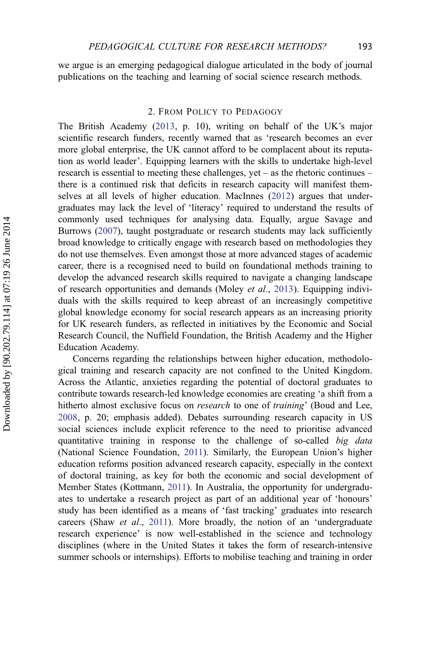we argue is an emerging pedagogical dialogue articulated in the body of journal publications on the teaching and learning of social science research methods.

## 2. FROM POLICY TO PEDAGOGY

The British Academy ([2013,](#page-18-0) p. 10), writing on behalf of the UK's major scientific research funders, recently warned that as 'research becomes an ever more global enterprise, the UK cannot afford to be complacent about its reputation as world leader'. Equipping learners with the skills to undertake high-level research is essential to meeting these challenges, yet – as the rhetoric continues – there is a continued risk that deficits in research capacity will manifest themselves at all levels of higher education. MacInnes ([2012\)](#page-17-0) argues that undergraduates may lack the level of 'literacy' required to understand the results of commonly used techniques for analysing data. Equally, argue Savage and Burrows ([2007\)](#page-17-0), taught postgraduate or research students may lack sufficiently broad knowledge to critically engage with research based on methodologies they do not use themselves. Even amongst those at more advanced stages of academic career, there is a recognised need to build on foundational methods training to develop the advanced research skills required to navigate a changing landscape of research opportunities and demands (Moley *et al.*, [2013\)](#page-17-0). Equipping individuals with the skills required to keep abreast of an increasingly competitive global knowledge economy for social research appears as an increasing priority for UK research funders, as reflected in initiatives by the Economic and Social Research Council, the Nuffield Foundation, the British Academy and the Higher Education Academy.

Concerns regarding the relationships between higher education, methodological training and research capacity are not confined to the United Kingdom. Across the Atlantic, anxieties regarding the potential of doctoral graduates to contribute towards research-led knowledge economies are creating 'a shift from a hitherto almost exclusive focus on *research* to one of *training*' (Boud and Lee, [2008,](#page-16-0) p. 20; emphasis added). Debates surrounding research capacity in US social sciences include explicit reference to the need to prioritise advanced quantitative training in response to the challenge of so-called big data (National Science Foundation, [2011\)](#page-17-0). Similarly, the European Union's higher education reforms position advanced research capacity, especially in the context of doctoral training, as key for both the economic and social development of Member States (Kottmann, [2011\)](#page-17-0). In Australia, the opportunity for undergraduates to undertake a research project as part of an additional year of 'honours' study has been identified as a means of 'fast tracking' graduates into research careers (Shaw et al., [2011\)](#page-18-0). More broadly, the notion of an 'undergraduate research experience' is now well-established in the science and technology disciplines (where in the United States it takes the form of research-intensive summer schools or internships). Efforts to mobilise teaching and training in order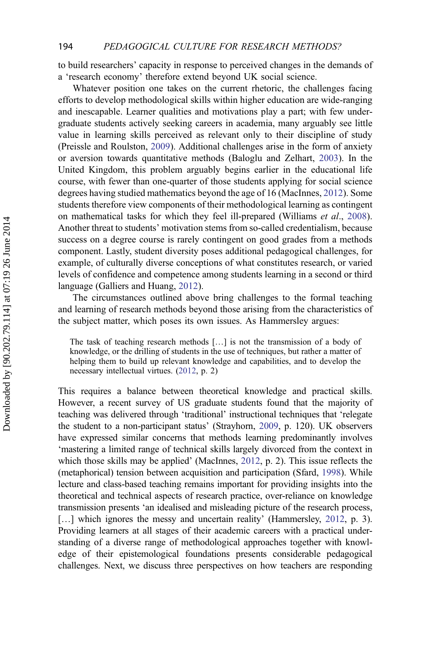to build researchers' capacity in response to perceived changes in the demands of a 'research economy' therefore extend beyond UK social science.

Whatever position one takes on the current rhetoric, the challenges facing efforts to develop methodological skills within higher education are wide-ranging and inescapable. Learner qualities and motivations play a part; with few undergraduate students actively seeking careers in academia, many arguably see little value in learning skills perceived as relevant only to their discipline of study (Preissle and Roulston, [2009\)](#page-17-0). Additional challenges arise in the form of anxiety or aversion towards quantitative methods (Baloglu and Zelhart, [2003\)](#page-16-0). In the United Kingdom, this problem arguably begins earlier in the educational life course, with fewer than one-quarter of those students applying for social science degrees having studied mathematics beyond the age of 16 (MacInnes, [2012](#page-17-0)). Some students therefore view components of their methodological learning as contingent on mathematical tasks for which they feel ill-prepared (Williams et al., [2008\)](#page-18-0). Another threat to students' motivation stems from so-called credentialism, because success on a degree course is rarely contingent on good grades from a methods component. Lastly, student diversity poses additional pedagogical challenges, for example, of culturally diverse conceptions of what constitutes research, or varied levels of confidence and competence among students learning in a second or third language (Galliers and Huang, [2012](#page-16-0)).

The circumstances outlined above bring challenges to the formal teaching and learning of research methods beyond those arising from the characteristics of the subject matter, which poses its own issues. As Hammersley argues:

The task of teaching research methods […] is not the transmission of a body of knowledge, or the drilling of students in the use of techniques, but rather a matter of helping them to build up relevant knowledge and capabilities, and to develop the necessary intellectual virtues. [\(2012](#page-17-0), p. 2)

This requires a balance between theoretical knowledge and practical skills. However, a recent survey of US graduate students found that the majority of teaching was delivered through 'traditional' instructional techniques that 'relegate the student to a non-participant status' (Strayhorn, [2009,](#page-18-0) p. 120). UK observers have expressed similar concerns that methods learning predominantly involves 'mastering a limited range of technical skills largely divorced from the context in which those skills may be applied' (MacInnes, [2012](#page-17-0), p. 2). This issue reflects the (metaphorical) tension between acquisition and participation (Sfard, [1998](#page-17-0)). While lecture and class-based teaching remains important for providing insights into the theoretical and technical aspects of research practice, over-reliance on knowledge transmission presents 'an idealised and misleading picture of the research process, [...] which ignores the messy and uncertain reality' (Hammersley, [2012,](#page-17-0) p. 3). Providing learners at all stages of their academic careers with a practical understanding of a diverse range of methodological approaches together with knowledge of their epistemological foundations presents considerable pedagogical challenges. Next, we discuss three perspectives on how teachers are responding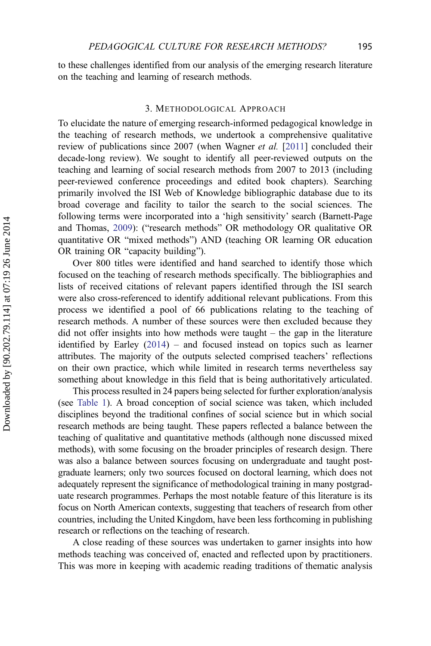to these challenges identified from our analysis of the emerging research literature on the teaching and learning of research methods.

#### 3. METHODOLOGICAL APPROACH

To elucidate the nature of emerging research-informed pedagogical knowledge in the teaching of research methods, we undertook a comprehensive qualitative review of publications since 2007 (when Wagner et al. [\[2011\]](#page-18-0) concluded their decade-long review). We sought to identify all peer-reviewed outputs on the teaching and learning of social research methods from 2007 to 2013 (including peer-reviewed conference proceedings and edited book chapters). Searching primarily involved the ISI Web of Knowledge bibliographic database due to its broad coverage and facility to tailor the search to the social sciences. The following terms were incorporated into a 'high sensitivity' search (Barnett-Page and Thomas, [2009](#page-16-0)): ("research methods" OR methodology OR qualitative OR quantitative OR "mixed methods") AND (teaching OR learning OR education OR training OR "capacity building").

Over 800 titles were identified and hand searched to identify those which focused on the teaching of research methods specifically. The bibliographies and lists of received citations of relevant papers identified through the ISI search were also cross-referenced to identify additional relevant publications. From this process we identified a pool of 66 publications relating to the teaching of research methods. A number of these sources were then excluded because they did not offer insights into how methods were taught – the gap in the literature identified by Earley ([2014\)](#page-16-0) – and focused instead on topics such as learner attributes. The majority of the outputs selected comprised teachers' reflections on their own practice, which while limited in research terms nevertheless say something about knowledge in this field that is being authoritatively articulated.

This process resulted in 24 papers being selected for further exploration/analysis (see Table 1). A broad conception of social science was taken, which included disciplines beyond the traditional confines of social science but in which social research methods are being taught. These papers reflected a balance between the teaching of qualitative and quantitative methods (although none discussed mixed methods), with some focusing on the broader principles of research design. There was also a balance between sources focusing on undergraduate and taught postgraduate learners; only two sources focused on doctoral learning, which does not adequately represent the significance of methodological training in many postgraduate research programmes. Perhaps the most notable feature of this literature is its focus on North American contexts, suggesting that teachers of research from other countries, including the United Kingdom, have been less forthcoming in publishing research or reflections on the teaching of research.

A close reading of these sources was undertaken to garner insights into how methods teaching was conceived of, enacted and reflected upon by practitioners. This was more in keeping with academic reading traditions of thematic analysis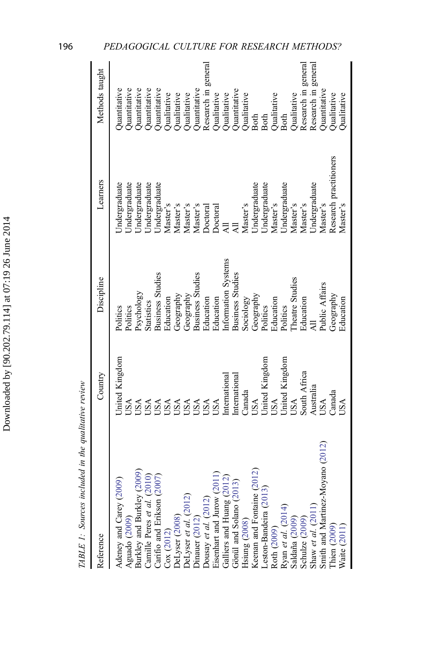| is an estate                   |
|--------------------------------|
| くこく                            |
| $\ddot{\phantom{0}}$<br>рц     |
| Ĭ<br>ī                         |
| i<br>I                         |
| į<br>l                         |
|                                |
| ,<br>,<br>,<br>,<br>,<br><br>, |

| Reference                                                                                                                                                                                                                                                                            | Country                                                                                             | Discipline                                                                                                                                           | Learners                                                                                                                                 | Methods taught                                                                                                                            |
|--------------------------------------------------------------------------------------------------------------------------------------------------------------------------------------------------------------------------------------------------------------------------------------|-----------------------------------------------------------------------------------------------------|------------------------------------------------------------------------------------------------------------------------------------------------------|------------------------------------------------------------------------------------------------------------------------------------------|-------------------------------------------------------------------------------------------------------------------------------------------|
| (2009)<br>(2010)<br>(2007)<br>Adeney and Carey (2009)<br>Aguado (2009)<br>Burkley and Burkley (200<br>Camille Peres et al. (2)<br>Carifio and Erikson (2)<br>Cox (2012)<br>DeLyser (2008)<br>DeLyser et al. (2012)<br>Dinauer (2012)<br>Dousay et al. (2012)<br>Dousay et al. (2012) | Jnited Kingdom<br>USA<br><b>BSA<br/>BSA</b><br>BSA<br>USA<br>USA<br>USA                             | <b>Business Studies</b><br><b>Business Studies</b><br>Psychology<br>Geography<br>Geography<br>Education<br><b>Statistics</b><br>Politics<br>Politics | Jndergraduate<br><b>Jndergraduate</b><br>Jndergraduate<br>Jndergraduate<br>Undergraduate<br>Master's<br>Master's<br>Master's<br>Master's | Quantitative<br>Quantitative<br>Quantitative<br>Quantitative<br>Quantitative<br>Quantitative<br>Qualitative<br>Qualitative<br>Qualitative |
| (2012)<br>(2011)<br>Galliers and Huang $(2012)$<br>Gönül and Solano $(2013)$<br>Hsiung $(2008)$<br>Keenan and Fontaine $(2012)$<br>Leston-Bandeira $(2013)$<br>Roth $(2009)$                                                                                                         | <b>Jnited Kingdom</b><br>International<br><b>Internationa</b><br>Canada<br><b>JSA</b><br>USA<br>USA | Information Systems<br><b>Business Studies</b><br>Geography<br>Education<br>Education<br>Sociology<br>Politics                                       | Undergraduate<br>Undergraduate<br>Master's<br>Doctoral<br>Doctoral                                                                       | Research in general<br>Quantitative<br>Qualitative<br>Qualitative<br>Qualitative<br><b>Both</b><br><b>Both</b>                            |
| Ryan et al. (2014)<br>Saldaña (2009)<br>Schulze (2009)<br>Shaw et al. (2011)<br>Smith and Mattinez-Moyano (2012)<br>Thien (2009)<br>Waite (2011)                                                                                                                                     | Jnited Kingdom<br>South Africa<br>Australia<br>$\Box$ anada<br>USA<br>USA<br>USA<br>USA             | Theatre Studies<br>Public Affairs<br>Geography<br>Education<br>Education<br>Education<br>Politics                                                    | Research practitioners<br>Undergraduate<br>Undergraduate<br>Master's<br>Master's<br>Master's<br>Master's<br>Master's                     | Research in general<br>Research in general<br>Quantitative<br>Qualitative<br>Qualitative<br>Qualitative<br>Qualitative<br><b>Both</b>     |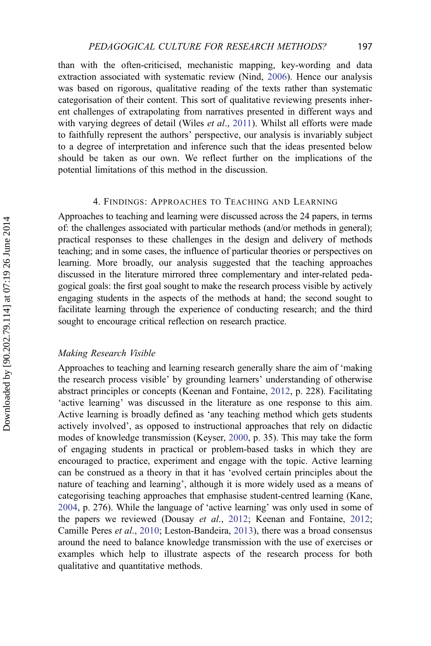than with the often-criticised, mechanistic mapping, key-wording and data extraction associated with systematic review (Nind, [2006\)](#page-17-0). Hence our analysis was based on rigorous, qualitative reading of the texts rather than systematic categorisation of their content. This sort of qualitative reviewing presents inherent challenges of extrapolating from narratives presented in different ways and with varying degrees of detail (Wiles et al., [2011\)](#page-18-0). Whilst all efforts were made to faithfully represent the authors' perspective, our analysis is invariably subject to a degree of interpretation and inference such that the ideas presented below should be taken as our own. We reflect further on the implications of the potential limitations of this method in the discussion.

# 4. FINDINGS: APPROACHES TO TEACHING AND LEARNING

Approaches to teaching and learning were discussed across the 24 papers, in terms of: the challenges associated with particular methods (and/or methods in general); practical responses to these challenges in the design and delivery of methods teaching; and in some cases, the influence of particular theories or perspectives on learning. More broadly, our analysis suggested that the teaching approaches discussed in the literature mirrored three complementary and inter-related pedagogical goals: the first goal sought to make the research process visible by actively engaging students in the aspects of the methods at hand; the second sought to facilitate learning through the experience of conducting research; and the third sought to encourage critical reflection on research practice.

#### Making Research Visible

Approaches to teaching and learning research generally share the aim of 'making the research process visible' by grounding learners' understanding of otherwise abstract principles or concepts (Keenan and Fontaine, [2012,](#page-17-0) p. 228). Facilitating 'active learning' was discussed in the literature as one response to this aim. Active learning is broadly defined as 'any teaching method which gets students actively involved', as opposed to instructional approaches that rely on didactic modes of knowledge transmission (Keyser, [2000,](#page-17-0) p. 35). This may take the form of engaging students in practical or problem-based tasks in which they are encouraged to practice, experiment and engage with the topic. Active learning can be construed as a theory in that it has 'evolved certain principles about the nature of teaching and learning', although it is more widely used as a means of categorising teaching approaches that emphasise student-centred learning (Kane, [2004,](#page-17-0) p. 276). While the language of 'active learning' was only used in some of the papers we reviewed (Dousay et al., [2012;](#page-17-0) Keenan and Fontaine, 2012; Camille Peres et al., [2010](#page-16-0); Leston-Bandeira, [2013](#page-17-0)), there was a broad consensus around the need to balance knowledge transmission with the use of exercises or examples which help to illustrate aspects of the research process for both qualitative and quantitative methods.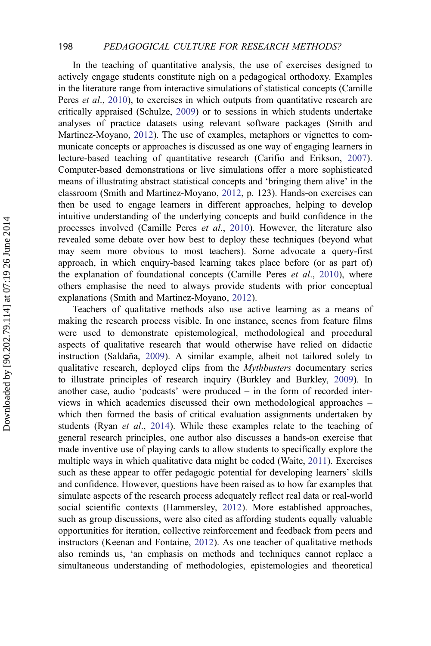#### 198 PEDAGOGICAL CULTURE FOR RESEARCH METHODS?

In the teaching of quantitative analysis, the use of exercises designed to actively engage students constitute nigh on a pedagogical orthodoxy. Examples in the literature range from interactive simulations of statistical concepts (Camille Peres *et al.*, [2010\)](#page-16-0), to exercises in which outputs from quantitative research are critically appraised (Schulze, [2009\)](#page-17-0) or to sessions in which students undertake analyses of practice datasets using relevant software packages (Smith and Martinez-Moyano, [2012](#page-18-0)). The use of examples, metaphors or vignettes to communicate concepts or approaches is discussed as one way of engaging learners in lecture-based teaching of quantitative research (Carifio and Erikson, [2007\)](#page-16-0). Computer-based demonstrations or live simulations offer a more sophisticated means of illustrating abstract statistical concepts and 'bringing them alive' in the classroom (Smith and Martinez-Moyano, [2012,](#page-18-0) p. 123). Hands-on exercises can then be used to engage learners in different approaches, helping to develop intuitive understanding of the underlying concepts and build confidence in the processes involved (Camille Peres et al., [2010](#page-16-0)). However, the literature also revealed some debate over how best to deploy these techniques (beyond what may seem more obvious to most teachers). Some advocate a query-first approach, in which enquiry-based learning takes place before (or as part of) the explanation of foundational concepts (Camille Peres *et al.*, [2010\)](#page-16-0), where others emphasise the need to always provide students with prior conceptual explanations (Smith and Martinez-Moyano, [2012](#page-18-0)).

Teachers of qualitative methods also use active learning as a means of making the research process visible. In one instance, scenes from feature films were used to demonstrate epistemological, methodological and procedural aspects of qualitative research that would otherwise have relied on didactic instruction (Saldaña, [2009](#page-17-0)). A similar example, albeit not tailored solely to qualitative research, deployed clips from the *Mythbusters* documentary series to illustrate principles of research inquiry (Burkley and Burkley, [2009](#page-16-0)). In another case, audio 'podcasts' were produced – in the form of recorded interviews in which academics discussed their own methodological approaches – which then formed the basis of critical evaluation assignments undertaken by students (Ryan et al., [2014](#page-17-0)). While these examples relate to the teaching of general research principles, one author also discusses a hands-on exercise that made inventive use of playing cards to allow students to specifically explore the multiple ways in which qualitative data might be coded (Waite, [2011](#page-18-0)). Exercises such as these appear to offer pedagogic potential for developing learners' skills and confidence. However, questions have been raised as to how far examples that simulate aspects of the research process adequately reflect real data or real-world social scientific contexts (Hammersley, [2012](#page-17-0)). More established approaches, such as group discussions, were also cited as affording students equally valuable opportunities for iteration, collective reinforcement and feedback from peers and instructors (Keenan and Fontaine, [2012\)](#page-17-0). As one teacher of qualitative methods also reminds us, 'an emphasis on methods and techniques cannot replace a simultaneous understanding of methodologies, epistemologies and theoretical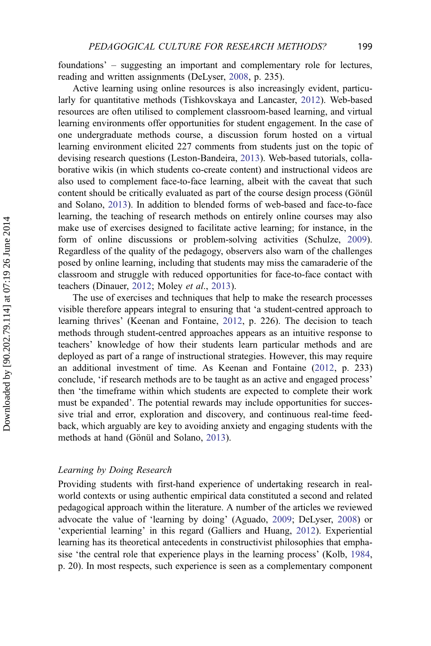foundations' – suggesting an important and complementary role for lectures, reading and written assignments (DeLyser, [2008](#page-16-0), p. 235).

Active learning using online resources is also increasingly evident, particularly for quantitative methods (Tishkovskaya and Lancaster, [2012](#page-18-0)). Web-based resources are often utilised to complement classroom-based learning, and virtual learning environments offer opportunities for student engagement. In the case of one undergraduate methods course, a discussion forum hosted on a virtual learning environment elicited 227 comments from students just on the topic of devising research questions (Leston-Bandeira, [2013\)](#page-17-0). Web-based tutorials, collaborative wikis (in which students co-create content) and instructional videos are also used to complement face-to-face learning, albeit with the caveat that such content should be critically evaluated as part of the course design process (Gönül and Solano, [2013](#page-17-0)). In addition to blended forms of web-based and face-to-face learning, the teaching of research methods on entirely online courses may also make use of exercises designed to facilitate active learning; for instance, in the form of online discussions or problem-solving activities (Schulze, [2009\)](#page-17-0). Regardless of the quality of the pedagogy, observers also warn of the challenges posed by online learning, including that students may miss the camaraderie of the classroom and struggle with reduced opportunities for face-to-face contact with teachers (Dinauer, [2012;](#page-16-0) Moley et al., [2013](#page-17-0)).

The use of exercises and techniques that help to make the research processes visible therefore appears integral to ensuring that 'a student-centred approach to learning thrives' (Keenan and Fontaine, [2012,](#page-17-0) p. 226). The decision to teach methods through student-centred approaches appears as an intuitive response to teachers' knowledge of how their students learn particular methods and are deployed as part of a range of instructional strategies. However, this may require an additional investment of time. As Keenan and Fontaine [\(2012](#page-17-0), p. 233) conclude, 'if research methods are to be taught as an active and engaged process' then 'the timeframe within which students are expected to complete their work must be expanded'. The potential rewards may include opportunities for successive trial and error, exploration and discovery, and continuous real-time feedback, which arguably are key to avoiding anxiety and engaging students with the methods at hand (Gönül and Solano, [2013\)](#page-17-0).

# Learning by Doing Research

Providing students with first-hand experience of undertaking research in realworld contexts or using authentic empirical data constituted a second and related pedagogical approach within the literature. A number of the articles we reviewed advocate the value of 'learning by doing' (Aguado, [2009;](#page-16-0) DeLyser, [2008\)](#page-16-0) or 'experiential learning' in this regard (Galliers and Huang, [2012](#page-16-0)). Experiential learning has its theoretical antecedents in constructivist philosophies that emphasise 'the central role that experience plays in the learning process' (Kolb, [1984](#page-17-0), p. 20). In most respects, such experience is seen as a complementary component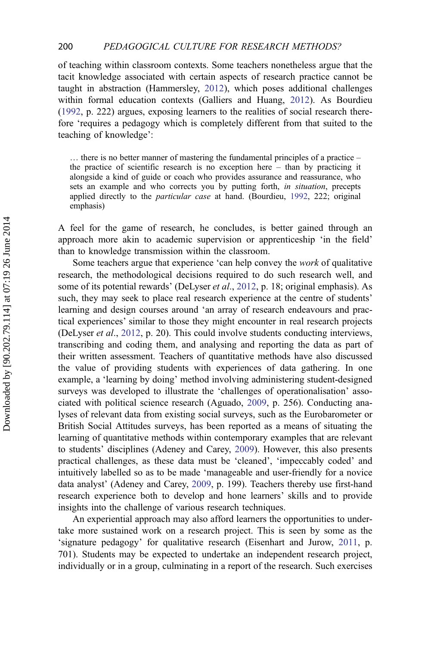of teaching within classroom contexts. Some teachers nonetheless argue that the tacit knowledge associated with certain aspects of research practice cannot be taught in abstraction (Hammersley, [2012](#page-17-0)), which poses additional challenges within formal education contexts (Galliers and Huang, [2012](#page-16-0)). As Bourdieu ([1992,](#page-16-0) p. 222) argues, exposing learners to the realities of social research therefore 'requires a pedagogy which is completely different from that suited to the teaching of knowledge':

… there is no better manner of mastering the fundamental principles of a practice – the practice of scientific research is no exception here  $-$  than by practicing it alongside a kind of guide or coach who provides assurance and reassurance, who sets an example and who corrects you by putting forth, *in situation*, precepts applied directly to the *particular case* at hand. (Bourdieu, [1992](#page-16-0), 222; original emphasis)

A feel for the game of research, he concludes, is better gained through an approach more akin to academic supervision or apprenticeship 'in the field' than to knowledge transmission within the classroom.

Some teachers argue that experience 'can help convey the work of qualitative research, the methodological decisions required to do such research well, and some of its potential rewards' (DeLyser *et al.*, [2012](#page-16-0), p. 18; original emphasis). As such, they may seek to place real research experience at the centre of students' learning and design courses around 'an array of research endeavours and practical experiences' similar to those they might encounter in real research projects (DeLyser et al., [2012](#page-16-0), p. 20). This could involve students conducting interviews, transcribing and coding them, and analysing and reporting the data as part of their written assessment. Teachers of quantitative methods have also discussed the value of providing students with experiences of data gathering. In one example, a 'learning by doing' method involving administering student-designed surveys was developed to illustrate the 'challenges of operationalisation' associated with political science research (Aguado, [2009,](#page-16-0) p. 256). Conducting analyses of relevant data from existing social surveys, such as the Eurobarometer or British Social Attitudes surveys, has been reported as a means of situating the learning of quantitative methods within contemporary examples that are relevant to students' disciplines (Adeney and Carey, [2009](#page-16-0)). However, this also presents practical challenges, as these data must be 'cleaned', 'impeccably coded' and intuitively labelled so as to be made 'manageable and user-friendly for a novice data analyst' (Adeney and Carey, [2009,](#page-16-0) p. 199). Teachers thereby use first-hand research experience both to develop and hone learners' skills and to provide insights into the challenge of various research techniques.

An experiential approach may also afford learners the opportunities to undertake more sustained work on a research project. This is seen by some as the 'signature pedagogy' for qualitative research (Eisenhart and Jurow, [2011](#page-16-0), p. 701). Students may be expected to undertake an independent research project, individually or in a group, culminating in a report of the research. Such exercises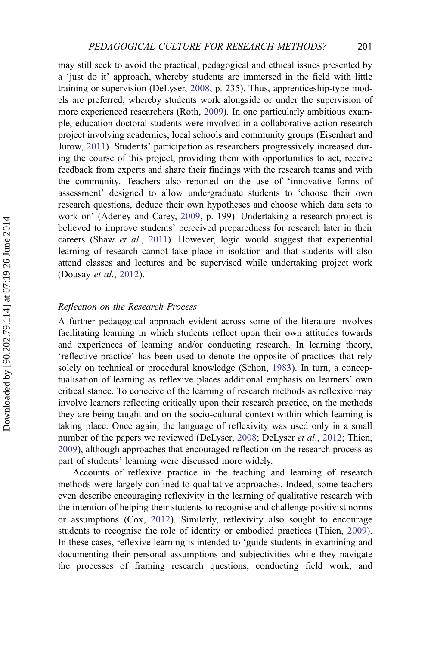may still seek to avoid the practical, pedagogical and ethical issues presented by a 'just do it' approach, whereby students are immersed in the field with little training or supervision (DeLyser, [2008](#page-16-0), p. 235). Thus, apprenticeship-type models are preferred, whereby students work alongside or under the supervision of more experienced researchers (Roth, [2009](#page-17-0)). In one particularly ambitious example, education doctoral students were involved in a collaborative action research project involving academics, local schools and community groups (Eisenhart and Jurow, [2011\)](#page-16-0). Students' participation as researchers progressively increased during the course of this project, providing them with opportunities to act, receive feedback from experts and share their findings with the research teams and with the community. Teachers also reported on the use of 'innovative forms of assessment' designed to allow undergraduate students to 'choose their own research questions, deduce their own hypotheses and choose which data sets to work on' (Adeney and Carey, [2009,](#page-16-0) p. 199). Undertaking a research project is believed to improve students' perceived preparedness for research later in their careers (Shaw et al., [2011](#page-18-0)). However, logic would suggest that experiential learning of research cannot take place in isolation and that students will also attend classes and lectures and be supervised while undertaking project work (Dousay et al., [2012\)](#page-16-0).

#### Reflection on the Research Process

A further pedagogical approach evident across some of the literature involves facilitating learning in which students reflect upon their own attitudes towards and experiences of learning and/or conducting research. In learning theory, 'reflective practice' has been used to denote the opposite of practices that rely solely on technical or procedural knowledge (Schon, [1983\)](#page-17-0). In turn, a conceptualisation of learning as reflexive places additional emphasis on learners' own critical stance. To conceive of the learning of research methods as reflexive may involve learners reflecting critically upon their research practice, on the methods they are being taught and on the socio-cultural context within which learning is taking place. Once again, the language of reflexivity was used only in a small number of the papers we reviewed (DeLyser, [2008;](#page-16-0) DeLyser *et al.*, [2012](#page-16-0); Thien, [2009\)](#page-18-0), although approaches that encouraged reflection on the research process as part of students' learning were discussed more widely.

Accounts of reflexive practice in the teaching and learning of research methods were largely confined to qualitative approaches. Indeed, some teachers even describe encouraging reflexivity in the learning of qualitative research with the intention of helping their students to recognise and challenge positivist norms or assumptions (Cox, [2012](#page-16-0)). Similarly, reflexivity also sought to encourage students to recognise the role of identity or embodied practices (Thien, [2009\)](#page-18-0). In these cases, reflexive learning is intended to 'guide students in examining and documenting their personal assumptions and subjectivities while they navigate the processes of framing research questions, conducting field work, and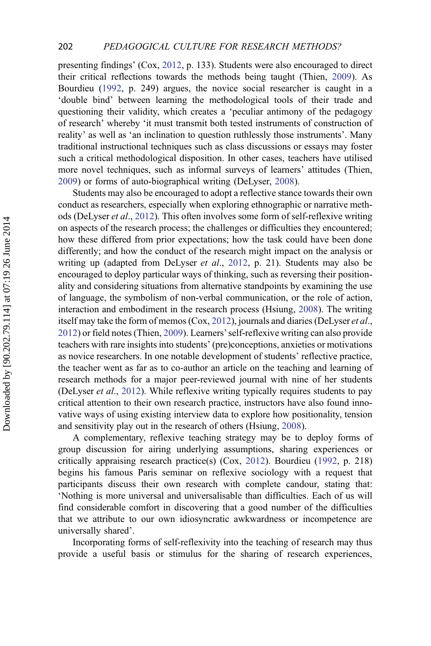presenting findings' (Cox, [2012,](#page-16-0) p. 133). Students were also encouraged to direct their critical reflections towards the methods being taught (Thien, [2009](#page-18-0)). As Bourdieu ([1992,](#page-16-0) p. 249) argues, the novice social researcher is caught in a 'double bind' between learning the methodological tools of their trade and questioning their validity, which creates a 'peculiar antimony of the pedagogy of research' whereby 'it must transmit both tested instruments of construction of reality' as well as 'an inclination to question ruthlessly those instruments'. Many traditional instructional techniques such as class discussions or essays may foster such a critical methodological disposition. In other cases, teachers have utilised more novel techniques, such as informal surveys of learners' attitudes (Thien, [2009\)](#page-18-0) or forms of auto-biographical writing (DeLyser, [2008](#page-16-0)).

Students may also be encouraged to adopt a reflective stance towards their own conduct as researchers, especially when exploring ethnographic or narrative methods (DeLyser et al., [2012\)](#page-16-0). This often involves some form of self-reflexive writing on aspects of the research process; the challenges or difficulties they encountered; how these differed from prior expectations; how the task could have been done differently; and how the conduct of the research might impact on the analysis or writing up (adapted from DeLyser *et al.*, [2012](#page-16-0), p. 21). Students may also be encouraged to deploy particular ways of thinking, such as reversing their positionality and considering situations from alternative standpoints by examining the use of language, the symbolism of non-verbal communication, or the role of action, interaction and embodiment in the research process (Hsiung, [2008\)](#page-17-0). The writing itself may take the form of memos (Cox, [2012](#page-16-0)), journals and diaries (DeLyser et al., [2012\)](#page-16-0) or field notes (Thien, [2009\)](#page-18-0). Learners'self-reflexive writing can also provide teachers with rare insights into students' (pre)conceptions, anxieties or motivations as novice researchers. In one notable development of students' reflective practice, the teacher went as far as to co-author an article on the teaching and learning of research methods for a major peer-reviewed journal with nine of her students (DeLyser et al., [2012\)](#page-16-0). While reflexive writing typically requires students to pay critical attention to their own research practice, instructors have also found innovative ways of using existing interview data to explore how positionality, tension and sensitivity play out in the research of others (Hsiung, [2008](#page-17-0)).

A complementary, reflexive teaching strategy may be to deploy forms of group discussion for airing underlying assumptions, sharing experiences or critically appraising research practice(s) (Cox, [2012](#page-16-0)). Bourdieu [\(1992](#page-16-0), p. 218) begins his famous Paris seminar on reflexive sociology with a request that participants discuss their own research with complete candour, stating that: 'Nothing is more universal and universalisable than difficulties. Each of us will find considerable comfort in discovering that a good number of the difficulties that we attribute to our own idiosyncratic awkwardness or incompetence are universally shared'.

Incorporating forms of self-reflexivity into the teaching of research may thus provide a useful basis or stimulus for the sharing of research experiences,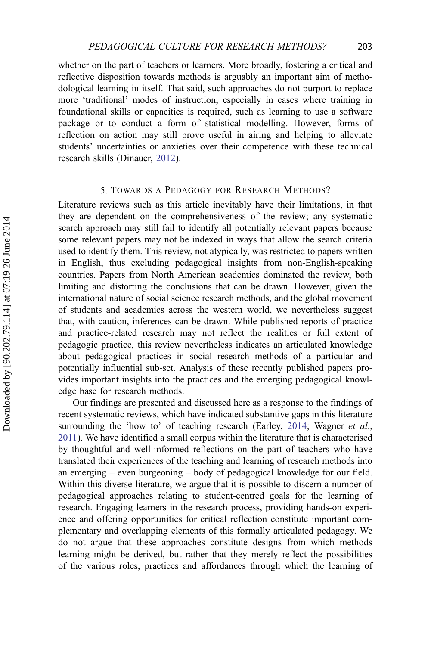whether on the part of teachers or learners. More broadly, fostering a critical and reflective disposition towards methods is arguably an important aim of methodological learning in itself. That said, such approaches do not purport to replace more 'traditional' modes of instruction, especially in cases where training in foundational skills or capacities is required, such as learning to use a software package or to conduct a form of statistical modelling. However, forms of reflection on action may still prove useful in airing and helping to alleviate students' uncertainties or anxieties over their competence with these technical research skills (Dinauer, [2012](#page-16-0)).

## 5. TOWARDS A PEDAGOGY FOR RESEARCH METHODS?

Literature reviews such as this article inevitably have their limitations, in that they are dependent on the comprehensiveness of the review; any systematic search approach may still fail to identify all potentially relevant papers because some relevant papers may not be indexed in ways that allow the search criteria used to identify them. This review, not atypically, was restricted to papers written in English, thus excluding pedagogical insights from non-English-speaking countries. Papers from North American academics dominated the review, both limiting and distorting the conclusions that can be drawn. However, given the international nature of social science research methods, and the global movement of students and academics across the western world, we nevertheless suggest that, with caution, inferences can be drawn. While published reports of practice and practice-related research may not reflect the realities or full extent of pedagogic practice, this review nevertheless indicates an articulated knowledge about pedagogical practices in social research methods of a particular and potentially influential sub-set. Analysis of these recently published papers provides important insights into the practices and the emerging pedagogical knowledge base for research methods.

Our findings are presented and discussed here as a response to the findings of recent systematic reviews, which have indicated substantive gaps in this literature surrounding the 'how to' of teaching research (Earley, [2014](#page-16-0); Wagner et al., [2011](#page-18-0)). We have identified a small corpus within the literature that is characterised by thoughtful and well-informed reflections on the part of teachers who have translated their experiences of the teaching and learning of research methods into an emerging – even burgeoning – body of pedagogical knowledge for our field. Within this diverse literature, we argue that it is possible to discern a number of pedagogical approaches relating to student-centred goals for the learning of research. Engaging learners in the research process, providing hands-on experience and offering opportunities for critical reflection constitute important complementary and overlapping elements of this formally articulated pedagogy. We do not argue that these approaches constitute designs from which methods learning might be derived, but rather that they merely reflect the possibilities of the various roles, practices and affordances through which the learning of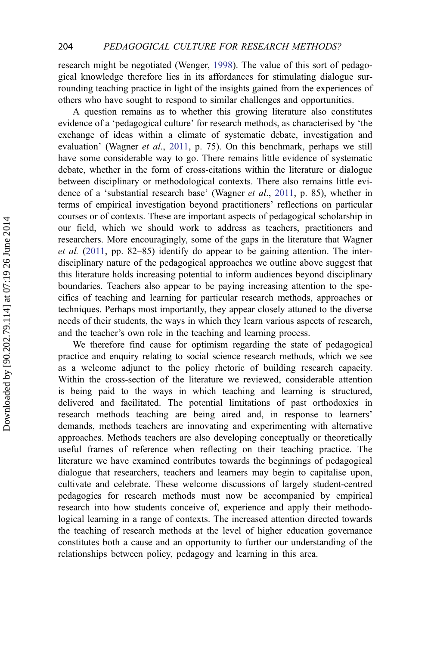research might be negotiated (Wenger, [1998\)](#page-18-0). The value of this sort of pedagogical knowledge therefore lies in its affordances for stimulating dialogue surrounding teaching practice in light of the insights gained from the experiences of others who have sought to respond to similar challenges and opportunities.

A question remains as to whether this growing literature also constitutes evidence of a 'pedagogical culture' for research methods, as characterised by 'the exchange of ideas within a climate of systematic debate, investigation and evaluation' (Wagner *et al.*, [2011,](#page-18-0) p. 75). On this benchmark, perhaps we still have some considerable way to go. There remains little evidence of systematic debate, whether in the form of cross-citations within the literature or dialogue between disciplinary or methodological contexts. There also remains little evidence of a 'substantial research base' (Wagner et al., [2011,](#page-18-0) p. 85), whether in terms of empirical investigation beyond practitioners' reflections on particular courses or of contexts. These are important aspects of pedagogical scholarship in our field, which we should work to address as teachers, practitioners and researchers. More encouragingly, some of the gaps in the literature that Wagner et al. [\(2011,](#page-18-0) pp. 82–85) identify do appear to be gaining attention. The interdisciplinary nature of the pedagogical approaches we outline above suggest that this literature holds increasing potential to inform audiences beyond disciplinary boundaries. Teachers also appear to be paying increasing attention to the specifics of teaching and learning for particular research methods, approaches or techniques. Perhaps most importantly, they appear closely attuned to the diverse needs of their students, the ways in which they learn various aspects of research, and the teacher's own role in the teaching and learning process.

We therefore find cause for optimism regarding the state of pedagogical practice and enquiry relating to social science research methods, which we see as a welcome adjunct to the policy rhetoric of building research capacity. Within the cross-section of the literature we reviewed, considerable attention is being paid to the ways in which teaching and learning is structured, delivered and facilitated. The potential limitations of past orthodoxies in research methods teaching are being aired and, in response to learners' demands, methods teachers are innovating and experimenting with alternative approaches. Methods teachers are also developing conceptually or theoretically useful frames of reference when reflecting on their teaching practice. The literature we have examined contributes towards the beginnings of pedagogical dialogue that researchers, teachers and learners may begin to capitalise upon, cultivate and celebrate. These welcome discussions of largely student-centred pedagogies for research methods must now be accompanied by empirical research into how students conceive of, experience and apply their methodological learning in a range of contexts. The increased attention directed towards the teaching of research methods at the level of higher education governance constitutes both a cause and an opportunity to further our understanding of the relationships between policy, pedagogy and learning in this area.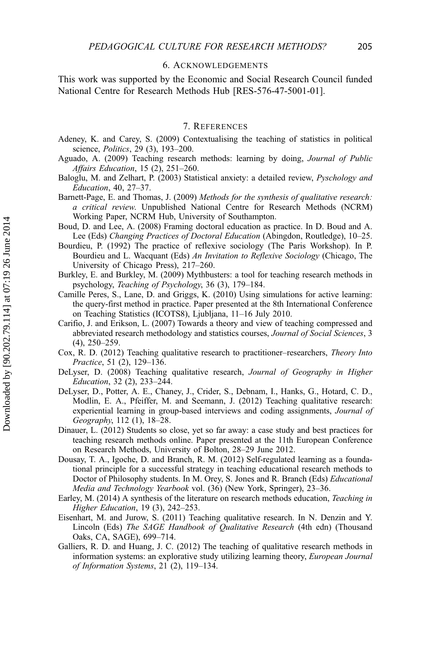#### 6. ACKNOWLEDGEMENTS

<span id="page-16-0"></span>This work was supported by the Economic and Social Research Council funded National Centre for Research Methods Hub [RES-576-47-5001-01].

## 7. REFERENCES

- Adeney, K. and Carey, S. (2009) Contextualising the teaching of statistics in political science, Politics, 29 (3), 193–200.
- Aguado, A. (2009) Teaching research methods: learning by doing, Journal of Public Affairs Education, 15 (2), 251–260.
- Baloglu, M. and Zelhart, P. (2003) Statistical anxiety: a detailed review, Pyschology and Education, 40, 27–37.
- Barnett-Page, E. and Thomas, J. (2009) Methods for the synthesis of qualitative research: a critical review. Unpublished National Centre for Research Methods (NCRM) Working Paper, NCRM Hub, University of Southampton.
- Boud, D. and Lee, A. (2008) Framing doctoral education as practice. In D. Boud and A. Lee (Eds) Changing Practices of Doctoral Education (Abingdon, Routledge), 10–25.
- Bourdieu, P. (1992) The practice of reflexive sociology (The Paris Workshop). In P. Bourdieu and L. Wacquant (Eds) An Invitation to Reflexive Sociology (Chicago, The University of Chicago Press), 217–260.
- Burkley, E. and Burkley, M. (2009) Mythbusters: a tool for teaching research methods in psychology, Teaching of Psychology, 36 (3), 179–184.
- Camille Peres, S., Lane, D. and Griggs, K. (2010) Using simulations for active learning: the query-first method in practice. Paper presented at the 8th International Conference on Teaching Statistics (ICOTS8), Ljubljana, 11–16 July 2010.
- Carifio, J. and Erikson, L. (2007) Towards a theory and view of teaching compressed and abbreviated research methodology and statistics courses, Journal of Social Sciences, 3 (4), 250–259.
- Cox, R. D. (2012) Teaching qualitative research to practitioner–researchers, Theory Into Practice, 51 (2), 129–136.
- DeLyser, D. (2008) Teaching qualitative research, *Journal of Geography in Higher* Education, 32 (2), 233–244.
- DeLyser, D., Potter, A. E., Chaney, J., Crider, S., Debnam, I., Hanks, G., Hotard, C. D., Modlin, E. A., Pfeiffer, M. and Seemann, J. (2012) Teaching qualitative research: experiential learning in group-based interviews and coding assignments, *Journal of* Geography, 112 (1), 18–28.
- Dinauer, L. (2012) Students so close, yet so far away: a case study and best practices for teaching research methods online. Paper presented at the 11th European Conference on Research Methods, University of Bolton, 28–29 June 2012.
- Dousay, T. A., Igoche, D. and Branch, R. M. (2012) Self-regulated learning as a foundational principle for a successful strategy in teaching educational research methods to Doctor of Philosophy students. In M. Orey, S. Jones and R. Branch (Eds) Educational Media and Technology Yearbook vol. (36) (New York, Springer), 23–36.
- Earley, M. (2014) A synthesis of the literature on research methods education, Teaching in Higher Education, 19 (3), 242–253.
- Eisenhart, M. and Jurow, S. (2011) Teaching qualitative research. In N. Denzin and Y. Lincoln (Eds) The SAGE Handbook of Qualitative Research (4th edn) (Thousand Oaks, CA, SAGE), 699–714.
- Galliers, R. D. and Huang, J. C. (2012) The teaching of qualitative research methods in information systems: an explorative study utilizing learning theory, European Journal of Information Systems, 21 (2), 119–134.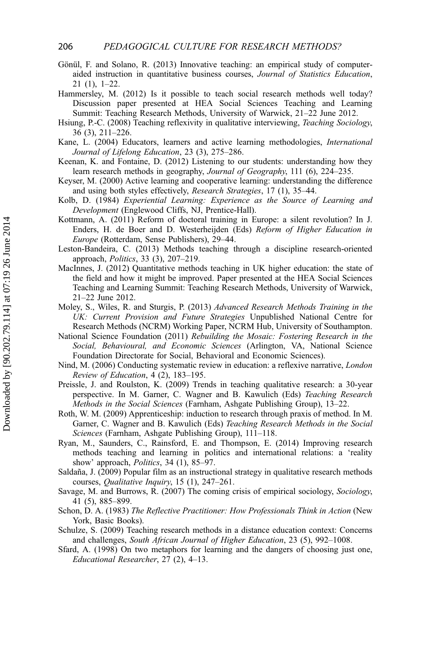- <span id="page-17-0"></span>Gönül, F. and Solano, R. (2013) Innovative teaching: an empirical study of computeraided instruction in quantitative business courses, Journal of Statistics Education, 21 (1), 1–22.
- Hammersley, M. (2012) Is it possible to teach social research methods well today? Discussion paper presented at HEA Social Sciences Teaching and Learning Summit: Teaching Research Methods, University of Warwick, 21–22 June 2012.
- Hsiung, P.-C. (2008) Teaching reflexivity in qualitative interviewing, Teaching Sociology, 36 (3), 211–226.
- Kane, L. (2004) Educators, learners and active learning methodologies, International Journal of Lifelong Education, 23 (3), 275–286.
- Keenan, K. and Fontaine, D. (2012) Listening to our students: understanding how they learn research methods in geography, Journal of Geography, 111 (6), 224–235.
- Keyser, M. (2000) Active learning and cooperative learning: understanding the difference and using both styles effectively, Research Strategies, 17 (1), 35–44.
- Kolb, D. (1984) Experiential Learning: Experience as the Source of Learning and Development (Englewood Cliffs, NJ, Prentice-Hall).
- Kottmann, A. (2011) Reform of doctoral training in Europe: a silent revolution? In J. Enders, H. de Boer and D. Westerheijden (Eds) Reform of Higher Education in Europe (Rotterdam, Sense Publishers), 29–44.
- Leston-Bandeira, C. (2013) Methods teaching through a discipline research-oriented approach, Politics, 33 (3), 207–219.
- MacInnes, J. (2012) Quantitative methods teaching in UK higher education: the state of the field and how it might be improved. Paper presented at the HEA Social Sciences Teaching and Learning Summit: Teaching Research Methods, University of Warwick, 21–22 June 2012.
- Moley, S., Wiles, R. and Sturgis, P. (2013) Advanced Research Methods Training in the UK: Current Provision and Future Strategies Unpublished National Centre for Research Methods (NCRM) Working Paper, NCRM Hub, University of Southampton.
- National Science Foundation (2011) Rebuilding the Mosaic: Fostering Research in the Social, Behavioural, and Economic Sciences (Arlington, VA, National Science Foundation Directorate for Social, Behavioral and Economic Sciences).
- Nind, M. (2006) Conducting systematic review in education: a reflexive narrative, London Review of Education, 4 (2), 183–195.
- Preissle, J. and Roulston, K. (2009) Trends in teaching qualitative research: a 30-year perspective. In M. Garner, C. Wagner and B. Kawulich (Eds) Teaching Research Methods in the Social Sciences (Farnham, Ashgate Publishing Group), 13–22.
- Roth, W. M. (2009) Apprenticeship: induction to research through praxis of method. In M. Garner, C. Wagner and B. Kawulich (Eds) Teaching Research Methods in the Social Sciences (Farnham, Ashgate Publishing Group), 111–118.
- Ryan, M., Saunders, C., Rainsford, E. and Thompson, E. (2014) Improving research methods teaching and learning in politics and international relations: a 'reality show' approach, *Politics*, 34 (1), 85–97.
- Saldaña, J. (2009) Popular film as an instructional strategy in qualitative research methods courses, Qualitative Inquiry, 15 (1), 247–261.
- Savage, M. and Burrows, R. (2007) The coming crisis of empirical sociology, Sociology, 41 (5), 885–899.
- Schon, D. A. (1983) The Reflective Practitioner: How Professionals Think in Action (New York, Basic Books).
- Schulze, S. (2009) Teaching research methods in a distance education context: Concerns and challenges, South African Journal of Higher Education, 23 (5), 992–1008.
- Sfard, A. (1998) On two metaphors for learning and the dangers of choosing just one, Educational Researcher, 27 (2), 4–13.